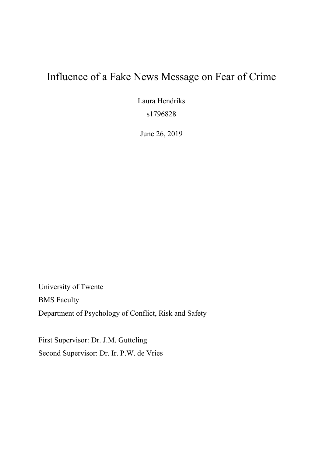# Influence of a Fake News Message on Fear of Crime

Laura Hendriks s1796828

June 26, 2019

University of Twente BMS Faculty Department of Psychology of Conflict, Risk and Safety

First Supervisor: Dr. J.M. Gutteling Second Supervisor: Dr. Ir. P.W. de Vries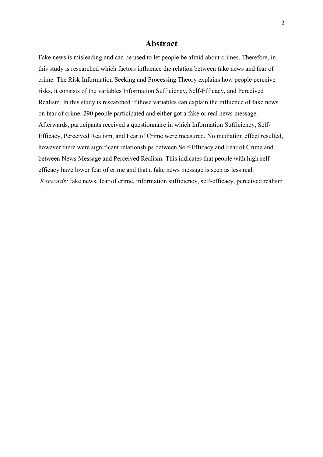## **Abstract**

Fake news is misleading and can be used to let people be afraid about crimes. Therefore, in this study is researched which factors influence the relation between fake news and fear of crime. The Risk Information Seeking and Processing Theory explains how people perceive risks, it consists of the variables Information Sufficiency, Self-Efficacy, and Perceived Realism. In this study is researched if those variables can explain the influence of fake news on fear of crime. 290 people participated and either got a fake or real news message. Afterwards, participants received a questionnaire in which Information Sufficiency, Self-Efficacy, Perceived Realism, and Fear of Crime were measured. No mediation effect resulted, however there were significant relationships between Self-Efficacy and Fear of Crime and between News Message and Perceived Realism. This indicates that people with high selfefficacy have lower fear of crime and that a fake news message is seen as less real. *Keywords:* fake news, fear of crime, information sufficiency, self-efficacy, perceived realism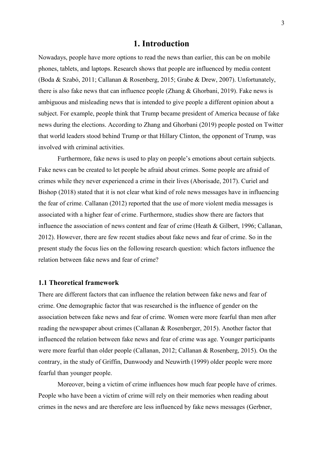## **1. Introduction**

Nowadays, people have more options to read the news than earlier, this can be on mobile phones, tablets, and laptops. Research shows that people are influenced by media content (Boda & Szabó, 2011; Callanan & Rosenberg, 2015; Grabe & Drew, 2007). Unfortunately, there is also fake news that can influence people (Zhang & Ghorbani, 2019). Fake news is ambiguous and misleading news that is intended to give people a different opinion about a subject. For example, people think that Trump became president of America because of fake news during the elections. According to Zhang and Ghorbani (2019) people posted on Twitter that world leaders stood behind Trump or that Hillary Clinton, the opponent of Trump, was involved with criminal activities.

Furthermore, fake news is used to play on people's emotions about certain subjects. Fake news can be created to let people be afraid about crimes. Some people are afraid of crimes while they never experienced a crime in their lives (Aborisade, 2017). Curiel and Bishop (2018) stated that it is not clear what kind of role news messages have in influencing the fear of crime. Callanan (2012) reported that the use of more violent media messages is associated with a higher fear of crime. Furthermore, studies show there are factors that influence the association of news content and fear of crime (Heath & Gilbert, 1996; Callanan, 2012). However, there are few recent studies about fake news and fear of crime. So in the present study the focus lies on the following research question: which factors influence the relation between fake news and fear of crime?

### **1.1 Theoretical framework**

There are different factors that can influence the relation between fake news and fear of crime. One demographic factor that was researched is the influence of gender on the association between fake news and fear of crime. Women were more fearful than men after reading the newspaper about crimes (Callanan & Rosenberger, 2015). Another factor that influenced the relation between fake news and fear of crime was age. Younger participants were more fearful than older people (Callanan, 2012; Callanan & Rosenberg, 2015). On the contrary, in the study of Griffin, Dunwoody and Neuwirth (1999) older people were more fearful than younger people.

Moreover, being a victim of crime influences how much fear people have of crimes. People who have been a victim of crime will rely on their memories when reading about crimes in the news and are therefore are less influenced by fake news messages (Gerbner,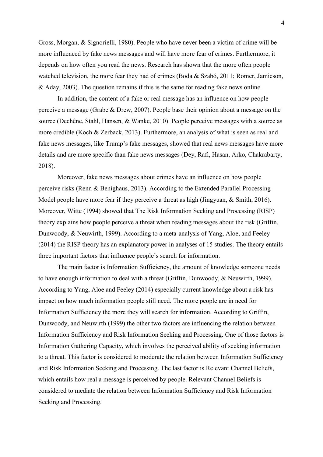Gross, Morgan, & Signorielli, 1980). People who have never been a victim of crime will be more influenced by fake news messages and will have more fear of crimes. Furthermore, it depends on how often you read the news. Research has shown that the more often people watched television, the more fear they had of crimes (Boda & Szabó, 2011; Romer, Jamieson, & Aday, 2003). The question remains if this is the same for reading fake news online.

In addition, the content of a fake or real message has an influence on how people perceive a message (Grabe & Drew, 2007). People base their opinion about a message on the source (Dechêne, Stahl, Hansen, & Wanke, 2010). People perceive messages with a source as more credible (Koch & Zerback, 2013). Furthermore, an analysis of what is seen as real and fake news messages, like Trump's fake messages, showed that real news messages have more details and are more specific than fake news messages (Dey, Rafi, Hasan, Arko, Chakrabarty, 2018).

Moreover, fake news messages about crimes have an influence on how people perceive risks (Renn & Benighaus, 2013). According to the Extended Parallel Processing Model people have more fear if they perceive a threat as high (Jingyuan, & Smith, 2016). Moreover, Witte (1994) showed that The Risk Information Seeking and Processing (RISP) theory explains how people perceive a threat when reading messages about the risk (Griffin, Dunwoody, & Neuwirth, 1999). According to a meta-analysis of Yang, Aloe, and Feeley (2014) the RISP theory has an explanatory power in analyses of 15 studies. The theory entails three important factors that influence people's search for information.

The main factor is Information Sufficiency, the amount of knowledge someone needs to have enough information to deal with a threat (Griffin, Dunwoody, & Neuwirth, 1999). According to Yang, Aloe and Feeley (2014) especially current knowledge about a risk has impact on how much information people still need. The more people are in need for Information Sufficiency the more they will search for information. According to Griffin, Dunwoody, and Neuwirth (1999) the other two factors are influencing the relation between Information Sufficiency and Risk Information Seeking and Processing. One of those factors is Information Gathering Capacity, which involves the perceived ability of seeking information to a threat. This factor is considered to moderate the relation between Information Sufficiency and Risk Information Seeking and Processing. The last factor is Relevant Channel Beliefs, which entails how real a message is perceived by people. Relevant Channel Beliefs is considered to mediate the relation between Information Sufficiency and Risk Information Seeking and Processing.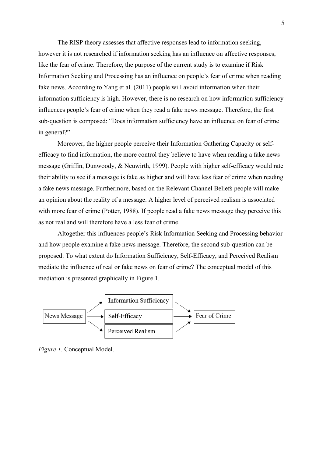The RISP theory assesses that affective responses lead to information seeking, however it is not researched if information seeking has an influence on affective responses, like the fear of crime. Therefore, the purpose of the current study is to examine if Risk Information Seeking and Processing has an influence on people's fear of crime when reading fake news. According to Yang et al. (2011) people will avoid information when their information sufficiency is high. However, there is no research on how information sufficiency influences people's fear of crime when they read a fake news message. Therefore, the first sub-question is composed: "Does information sufficiency have an influence on fear of crime in general?"

Moreover, the higher people perceive their Information Gathering Capacity or selfefficacy to find information, the more control they believe to have when reading a fake news message (Griffin, Dunwoody, & Neuwirth, 1999). People with higher self-efficacy would rate their ability to see if a message is fake as higher and will have less fear of crime when reading a fake news message. Furthermore, based on the Relevant Channel Beliefs people will make an opinion about the reality of a message. A higher level of perceived realism is associated with more fear of crime (Potter, 1988). If people read a fake news message they perceive this as not real and will therefore have a less fear of crime.

Altogether this influences people's Risk Information Seeking and Processing behavior and how people examine a fake news message. Therefore, the second sub-question can be proposed: To what extent do Information Sufficiency, Self-Efficacy, and Perceived Realism mediate the influence of real or fake news on fear of crime? The conceptual model of this mediation is presented graphically in Figure 1.



*Figure 1.* Conceptual Model.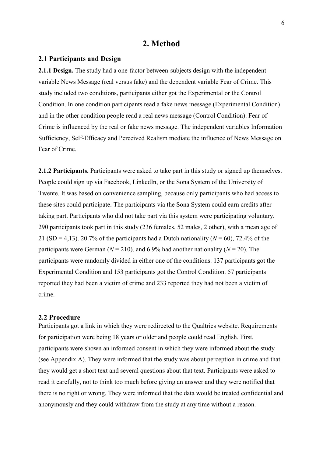## **2. Method**

### **2.1 Participants and Design**

**2.1.1 Design.** The study had a one-factor between-subjects design with the independent variable News Message (real versus fake) and the dependent variable Fear of Crime. This study included two conditions, participants either got the Experimental or the Control Condition. In one condition participants read a fake news message (Experimental Condition) and in the other condition people read a real news message (Control Condition). Fear of Crime is influenced by the real or fake news message. The independent variables Information Sufficiency, Self-Efficacy and Perceived Realism mediate the influence of News Message on Fear of Crime.

**2.1.2 Participants.** Participants were asked to take part in this study or signed up themselves. People could sign up via Facebook, LinkedIn, or the Sona System of the University of Twente. It was based on convenience sampling, because only participants who had access to these sites could participate. The participants via the Sona System could earn credits after taking part. Participants who did not take part via this system were participating voluntary. 290 participants took part in this study (236 females, 52 males, 2 other), with a mean age of 21 (SD = 4,13). 20.7% of the participants had a Dutch nationality ( $N = 60$ ), 72.4% of the participants were German ( $N = 210$ ), and 6.9% had another nationality ( $N = 20$ ). The participants were randomly divided in either one of the conditions. 137 participants got the Experimental Condition and 153 participants got the Control Condition. 57 participants reported they had been a victim of crime and 233 reported they had not been a victim of crime.

### **2.2 Procedure**

Participants got a link in which they were redirected to the Qualtrics website. Requirements for participation were being 18 years or older and people could read English. First, participants were shown an informed consent in which they were informed about the study (see Appendix A). They were informed that the study was about perception in crime and that they would get a short text and several questions about that text. Participants were asked to read it carefully, not to think too much before giving an answer and they were notified that there is no right or wrong. They were informed that the data would be treated confidential and anonymously and they could withdraw from the study at any time without a reason.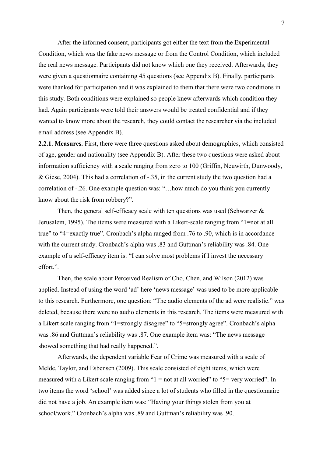After the informed consent, participants got either the text from the Experimental Condition, which was the fake news message or from the Control Condition, which included the real news message. Participants did not know which one they received. Afterwards, they were given a questionnaire containing 45 questions (see Appendix B). Finally, participants were thanked for participation and it was explained to them that there were two conditions in this study. Both conditions were explained so people knew afterwards which condition they had. Again participants were told their answers would be treated confidential and if they wanted to know more about the research, they could contact the researcher via the included email address (see Appendix B).

**2.2.1. Measures.** First, there were three questions asked about demographics, which consisted of age, gender and nationality (see Appendix B). After these two questions were asked about information sufficiency with a scale ranging from zero to 100 (Griffin, Neuwirth, Dunwoody, & Giese, 2004). This had a correlation of -.35, in the current study the two question had a correlation of -.26. One example question was: "…how much do you think you currently know about the risk from robbery?".

Then, the general self-efficacy scale with ten questions was used (Schwarzer  $\&$ Jerusalem, 1995). The items were measured with a Likert-scale ranging from "1=not at all true" to "4=exactly true". Cronbach's alpha ranged from .76 to .90, which is in accordance with the current study. Cronbach's alpha was .83 and Guttman's reliability was .84. One example of a self-efficacy item is: "I can solve most problems if I invest the necessary effort.".

Then, the scale about Perceived Realism of Cho, Chen, and Wilson (2012) was applied. Instead of using the word 'ad' here 'news message' was used to be more applicable to this research. Furthermore, one question: "The audio elements of the ad were realistic." was deleted, because there were no audio elements in this research. The items were measured with a Likert scale ranging from "1=strongly disagree" to "5=strongly agree". Cronbach's alpha was .86 and Guttman's reliability was .87. One example item was: "The news message showed something that had really happened.".

Afterwards, the dependent variable Fear of Crime was measured with a scale of Melde, Taylor, and Esbensen (2009). This scale consisted of eight items, which were measured with a Likert scale ranging from "1 = not at all worried" to "5= very worried". In two items the word 'school' was added since a lot of students who filled in the questionnaire did not have a job. An example item was: "Having your things stolen from you at school/work." Cronbach's alpha was .89 and Guttman's reliability was .90.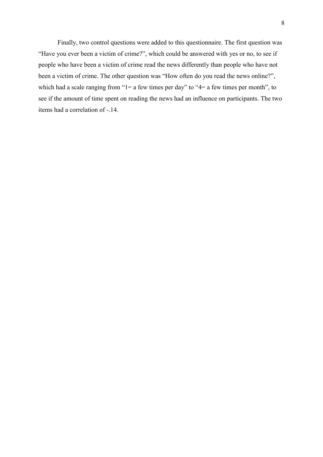Finally, two control questions were added to this questionnaire. The first question was "Have you ever been a victim of crime?", which could be answered with yes or no, to see if people who have been a victim of crime read the news differently than people who have not been a victim of crime. The other question was "How often do you read the news online?", which had a scale ranging from " $l = a$  few times per day" to " $4 = a$  few times per month", to see if the amount of time spent on reading the news had an influence on participants. The two items had a correlation of -.14.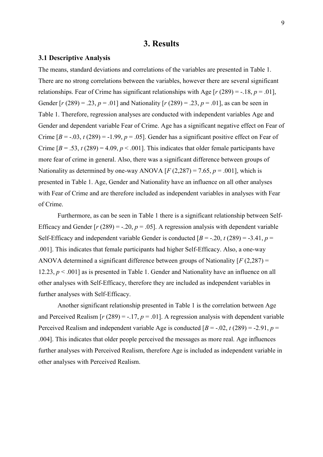### **3. Results**

#### **3.1 Descriptive Analysis**

The means, standard deviations and correlations of the variables are presented in Table 1. There are no strong correlations between the variables, however there are several significant relationships. Fear of Crime has significant relationships with Age  $[r (289) = -.18, p = .01]$ , Gender  $[r (289) = .23, p = .01]$  and Nationality  $[r (289) = .23, p = .01]$ , as can be seen in Table 1. Therefore, regression analyses are conducted with independent variables Age and Gender and dependent variable Fear of Crime. Age has a significant negative effect on Fear of Crime  $[B = -0.03, t(289) = -1.99, p = 0.05]$ . Gender has a significant positive effect on Fear of Crime  $[B = .53, t(289) = 4.09, p < .001$ . This indicates that older female participants have more fear of crime in general. Also, there was a significant difference between groups of Nationality as determined by one-way ANOVA  $[F(2,287) = 7.65, p = .001]$ , which is presented in Table 1. Age, Gender and Nationality have an influence on all other analyses with Fear of Crime and are therefore included as independent variables in analyses with Fear of Crime.

Furthermore, as can be seen in Table 1 there is a significant relationship between Self-Efficacy and Gender  $[r (289) = -.20, p = .05]$ . A regression analysis with dependent variable Self-Efficacy and independent variable Gender is conducted  $[B = -.20, t(289) = -.3.41, p =$ .001]. This indicates that female participants had higher Self-Efficacy. Also, a one-way ANOVA determined a significant difference between groups of Nationality [*F* (2,287) = 12.23, *p* < .001] as is presented in Table 1. Gender and Nationality have an influence on all other analyses with Self-Efficacy, therefore they are included as independent variables in further analyses with Self-Efficacy.

Another significant relationship presented in Table 1 is the correlation between Age and Perceived Realism  $[r (289) = -.17, p = .01]$ . A regression analysis with dependent variable Perceived Realism and independent variable Age is conducted  $[B = -0.02, t(289) = -2.91, p =$ .004]. This indicates that older people perceived the messages as more real. Age influences further analyses with Perceived Realism, therefore Age is included as independent variable in other analyses with Perceived Realism.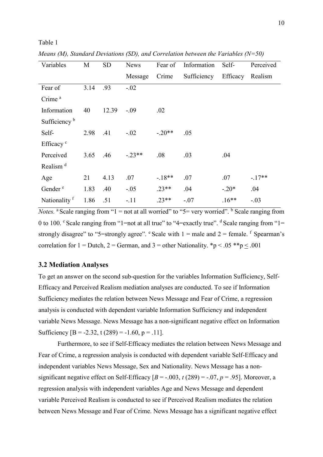| Variables                | M    | <b>SD</b> | <b>News</b> | Fear of  | Information          | Self-   | Perceived |
|--------------------------|------|-----------|-------------|----------|----------------------|---------|-----------|
|                          |      |           | Message     | Crime    | Sufficiency Efficacy |         | Realism   |
| Fear of                  | 3.14 | .93       | $-.02$      |          |                      |         |           |
| Crime <sup>a</sup>       |      |           |             |          |                      |         |           |
| Information              | 40   | 12.39     | $-.09$      | .02      |                      |         |           |
| Sufficiency <sup>b</sup> |      |           |             |          |                      |         |           |
| Self-                    | 2.98 | .41       | $-.02$      | $-.20**$ | .05                  |         |           |
| Efficacy <sup>c</sup>    |      |           |             |          |                      |         |           |
| Perceived                | 3.65 | .46       | $-.23**$    | .08      | .03                  | .04     |           |
| Realism <sup>d</sup>     |      |           |             |          |                      |         |           |
| Age                      | 21   | 4.13      | .07         | $-.18**$ | .07                  | .07     | $-.17**$  |
| Gender <sup>e</sup>      | 1.83 | .40       | $-.05$      | $.23**$  | .04                  | $-.20*$ | .04       |
| Nationality f            | 1.86 | .51       | $-.11$      | $.23**$  | $-.07$               | $.16**$ | $-.03$    |

*Means (M), Standard Deviations (SD), and Correlation between the Variables (N=50)*

*Notes.* <sup>a</sup> Scale ranging from " $1 =$  not at all worried" to " $5 =$  very worried".  $\frac{1}{2}$  Scale ranging from 0 to 100. Scale ranging from "1=not at all true" to "4=exactly true".  $d$  Scale ranging from "1= strongly disagree" to "5=strongly agree".  $\epsilon$  Scale with 1 = male and 2 = female.  $\epsilon$  Spearman's correlation for  $1 =$  Dutch,  $2 =$  German, and  $3 =$  other Nationality. \*p < .05 \*\*p < .001

### **3.2 Mediation Analyses**

Table 1

To get an answer on the second sub-question for the variables Information Sufficiency, Self-Efficacy and Perceived Realism mediation analyses are conducted. To see if Information Sufficiency mediates the relation between News Message and Fear of Crime, a regression analysis is conducted with dependent variable Information Sufficiency and independent variable News Message. News Message has a non-significant negative effect on Information Sufficiency  $[B = -2.32, t(289) = -1.60, p = .11]$ .

Furthermore, to see if Self-Efficacy mediates the relation between News Message and Fear of Crime, a regression analysis is conducted with dependent variable Self-Efficacy and independent variables News Message, Sex and Nationality. News Message has a nonsignificant negative effect on Self-Efficacy  $[B = -.003, t(289) = -.07, p = .95]$ . Moreover, a regression analysis with independent variables Age and News Message and dependent variable Perceived Realism is conducted to see if Perceived Realism mediates the relation between News Message and Fear of Crime. News Message has a significant negative effect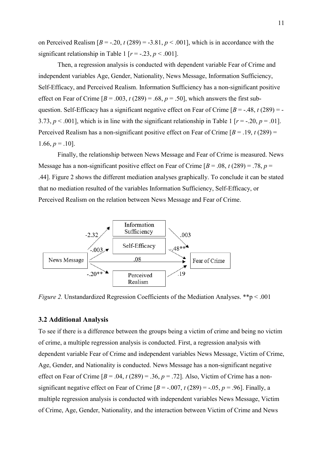on Perceived Realism  $[B = -0.20, t(289) = -3.81, p < 0.001]$ , which is in accordance with the significant relationship in Table 1 [ $r = -0.23$ ,  $p < 0.001$ ].

Then, a regression analysis is conducted with dependent variable Fear of Crime and independent variables Age, Gender, Nationality, News Message, Information Sufficiency, Self-Efficacy, and Perceived Realism. Information Sufficiency has a non-significant positive effect on Fear of Crime  $[B = .003, t(289) = .68, p = .50]$ , which answers the first subquestion. Self-Efficacy has a significant negative effect on Fear of Crime  $[B = -.48, t(289) = -$ 3.73,  $p < .001$ ], which is in line with the significant relationship in Table 1 [ $r = -.20$ ,  $p = .01$ ]. Perceived Realism has a non-significant positive effect on Fear of Crime  $[B = .19, t(289) =$  $1.66, p = .10$ .

Finally, the relationship between News Message and Fear of Crime is measured. News Message has a non-significant positive effect on Fear of Crime  $[B = .08, t(289) = .78, p =$ .44]. Figure 2 shows the different mediation analyses graphically. To conclude it can be stated that no mediation resulted of the variables Information Sufficiency, Self-Efficacy, or Perceived Realism on the relation between News Message and Fear of Crime.



*Figure 2.* Unstandardized Regression Coefficients of the Mediation Analyses. \*\*p < .001

#### **3.2 Additional Analysis**

To see if there is a difference between the groups being a victim of crime and being no victim of crime, a multiple regression analysis is conducted. First, a regression analysis with dependent variable Fear of Crime and independent variables News Message, Victim of Crime, Age, Gender, and Nationality is conducted. News Message has a non-significant negative effect on Fear of Crime  $[B = .04, t(289) = .36, p = .72]$ . Also, Victim of Crime has a nonsignificant negative effect on Fear of Crime  $[B = -.007, t(289) = -.05, p = .96]$ . Finally, a multiple regression analysis is conducted with independent variables News Message, Victim of Crime, Age, Gender, Nationality, and the interaction between Victim of Crime and News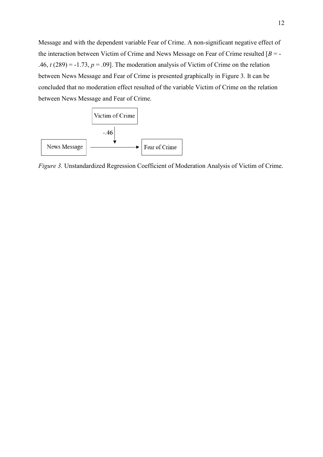Message and with the dependent variable Fear of Crime. A non-significant negative effect of the interaction between Victim of Crime and News Message on Fear of Crime resulted [*B* = - .46,  $t(289) = -1.73$ ,  $p = .09$ ]. The moderation analysis of Victim of Crime on the relation between News Message and Fear of Crime is presented graphically in Figure 3. It can be concluded that no moderation effect resulted of the variable Victim of Crime on the relation between News Message and Fear of Crime.



*Figure 3.* Unstandardized Regression Coefficient of Moderation Analysis of Victim of Crime.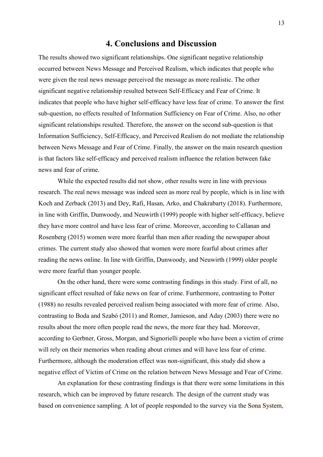## **4. Conclusions and Discussion**

The results showed two significant relationships. One significant negative relationship occurred between News Message and Perceived Realism, which indicates that people who were given the real news message perceived the message as more realistic. The other significant negative relationship resulted between Self-Efficacy and Fear of Crime. It indicates that people who have higher self-efficacy have less fear of crime. To answer the first sub-question, no effects resulted of Information Sufficiency on Fear of Crime. Also, no other significant relationships resulted. Therefore, the answer on the second sub-question is that Information Sufficiency, Self-Efficacy, and Perceived Realism do not mediate the relationship between News Message and Fear of Crime. Finally, the answer on the main research question is that factors like self-efficacy and perceived realism influence the relation between fake news and fear of crime.

While the expected results did not show, other results were in line with previous research. The real news message was indeed seen as more real by people, which is in line with Koch and Zerback (2013) and Dey, Rafi, Hasan, Arko, and Chakrabarty (2018). Furthermore, in line with Griffin, Dunwoody, and Neuwirth (1999) people with higher self-efficacy, believe they have more control and have less fear of crime. Moreover, according to Callanan and Rosenberg (2015) women were more fearful than men after reading the newspaper about crimes. The current study also showed that women were more fearful about crimes after reading the news online. In line with Griffin, Dunwoody, and Neuwirth (1999) older people were more fearful than younger people.

On the other hand, there were some contrasting findings in this study. First of all, no significant effect resulted of fake news on fear of crime. Furthermore, contrasting to Potter (1988) no results revealed perceived realism being associated with more fear of crime. Also, contrasting to Boda and Szabó (2011) and Romer, Jamieson, and Aday (2003) there were no results about the more often people read the news, the more fear they had. Moreover, according to Gerbner, Gross, Morgan, and Signorielli people who have been a victim of crime will rely on their memories when reading about crimes and will have less fear of crime. Furthermore, although the moderation effect was non-significant, this study did show a negative effect of Victim of Crime on the relation between News Message and Fear of Crime.

An explanation for these contrasting findings is that there were some limitations in this research, which can be improved by future research. The design of the current study was based on convenience sampling. A lot of people responded to the survey via the Sona System,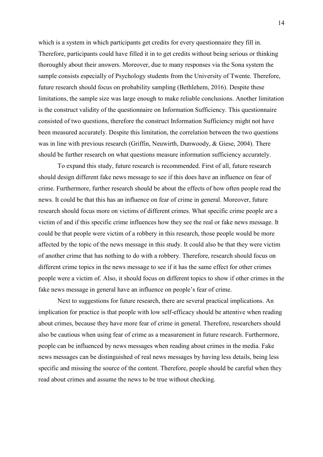which is a system in which participants get credits for every questionnaire they fill in. Therefore, participants could have filled it in to get credits without being serious or thinking thoroughly about their answers. Moreover, due to many responses via the Sona system the sample consists especially of Psychology students from the University of Twente. Therefore, future research should focus on probability sampling (Bethlehem, 2016). Despite these limitations, the sample size was large enough to make reliable conclusions. Another limitation is the construct validity of the questionnaire on Information Sufficiency. This questionnaire consisted of two questions, therefore the construct Information Sufficiency might not have been measured accurately. Despite this limitation, the correlation between the two questions was in line with previous research (Griffin, Neuwirth, Dunwoody, & Giese, 2004). There should be further research on what questions measure information sufficiency accurately.

To expand this study, future research is recommended. First of all, future research should design different fake news message to see if this does have an influence on fear of crime. Furthermore, further research should be about the effects of how often people read the news. It could be that this has an influence on fear of crime in general. Moreover, future research should focus more on victims of different crimes. What specific crime people are a victim of and if this specific crime influences how they see the real or fake news message. It could be that people were victim of a robbery in this research, those people would be more affected by the topic of the news message in this study. It could also be that they were victim of another crime that has nothing to do with a robbery. Therefore, research should focus on different crime topics in the news message to see if it has the same effect for other crimes people were a victim of. Also, it should focus on different topics to show if other crimes in the fake news message in general have an influence on people's fear of crime.

Next to suggestions for future research, there are several practical implications. An implication for practice is that people with low self-efficacy should be attentive when reading about crimes, because they have more fear of crime in general. Therefore, researchers should also be cautious when using fear of crime as a measurement in future research. Furthermore, people can be influenced by news messages when reading about crimes in the media. Fake news messages can be distinguished of real news messages by having less details, being less specific and missing the source of the content. Therefore, people should be careful when they read about crimes and assume the news to be true without checking.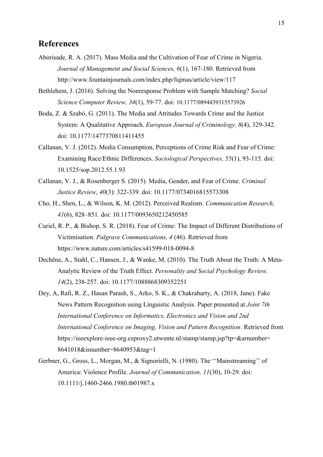## **References**

- Aborisade, R. A. (2017). Mass Media and the Cultivation of Fear of Crime in Nigeria. *Journal of Management and Social Sciences, 6*(1), 167-180. Retrieved from http://www.fountainjournals.com/index.php/fujmas/article/view/117
- Bethlehem, J. (2016). Solving the Nonresponse Problem with Sample Matching? *Social Science Computer Review, 34*(1), 59-77. doi: 10.1177/0894439315573926
- Boda, Z. & Szabó, G. (2011). The Media and Attitudes Towards Crime and the Justice System: A Qualitative Approach. *European Journal of Criminology, 8*(4), 329-342. doi: 10.1177/1477370811411455
- Callanan, V. J. (2012). Media Consumption, Perceptions of Crime Risk and Fear of Crime: Examining Race/Ethnic Differences. *Sociological Perspectives, 55*(1), 93-115. doi: 10.1525/sop.2012.55.1.93
- Callanan, V. J., & Rosenberger S. (2015). Media, Gender, and Fear of Crime. *Criminal Justice Review*, *40*(3): 322-339. doi: 10.1177/0734016815573308
- Cho, H., Shen, L., & Wilson, K. M. (2012). Perceived Realism. *Communication Research, 41*(6), 828–851. doi: 10.1177/0093650212450585
- Curiel, R. P., & Bishop, S. R. (2018). Fear of Crime: The Impact of Different Distributions of Victimisation. *Palgrave Communications, 4* (46). Retrieved from https://www.nature.com/articles/s41599-018-0094-8
- Dechêne, A., Stahl, C., Hansen, J., & Wanke, M. (2010). The Truth About the Truth: A Meta-Analytic Review of the Truth Effect. *Personality and Social Psychology Review, 14*(2), 238-257. doi: 10.1177/1088868309352251
- Dey, A, Rafi, R. Z., Hasan Parash, S., Arko, S. K., & Chakrabarty, A. (2018, June). Fake News Pattern Recognition using Linguistic Analysis. Paper presented at *Joint 7th International Conference on Informatics, Electronics and Vision and 2nd International Conference on Imaging, Vision and Pattern Recognition.* Retrieved from https://ieeexplore-ieee-org.ezproxy2.utwente.nl/stamp/stamp.jsp?tp=&arnumber= 8641018&isnumber=8640953&tag=1
- Gerbner, G., Gross, L., Morgan, M., & Signorielli, N. (1980). The ''Mainstreaming'' of America: Violence Profile. *Journal of Communication, 11*(30), 10-29. doi: [10.1111/j.1460-2466.1980.tb01987.x](https://doi.org/10.1111/j.1460-2466.1980.tb01987.x)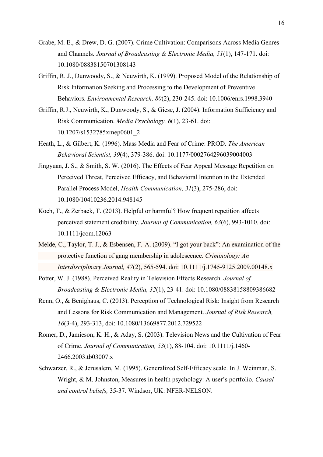- Grabe, M. E., & Drew, D. G. (2007). Crime Cultivation: Comparisons Across Media Genres and Channels. *Journal of Broadcasting & Electronic Media, 51*(1), 147-171. doi: 10.1080/08838150701308143
- Griffin, R. J., Dunwoody, S., & Neuwirth, K. (1999). Proposed Model of the Relationship of Risk Information Seeking and Processing to the Development of Preventive Behaviors. *Environmental Research, 80*(2), 230-245. doi: 10.1006/enrs.1998.3940
- Griffin, R.J., Neuwirth, K., Dunwoody, S., & Giese, J. (2004). Information Sufficiency and Risk Communication. *Media Psychology, 6*(1), 23-61. doi: 10.1207/s1532785xmep0601\_2
- Heath, L., & Gilbert, K. (1996). Mass Media and Fear of Crime: PROD. *The American Behavioral Scientist, 39*(4), 379-386. doi: 10.1177/0002764296039004003
- Jingyuan, J. S., & Smith, S. W. (2016). The Effects of Fear Appeal Message Repetition on Perceived Threat, Perceived Efficacy, and Behavioral Intention in the Extended Parallel Process Model, *Health Communication, 31*(3), 275-286, doi: 10.1080/10410236.2014.948145
- Koch, T., & Zerback, T. (2013). Helpful or harmful? How frequent repetition affects perceived statement credibility. *Journal of Communication, 63*(6), 993-1010. doi: 10.1111/jcom.12063
- Melde, C., Taylor, T. J., & Esbensen, F.-A. (2009). "I got your back": An examination of the protective function of gang membership in adolescence. *Criminology: An Interdisciplinary Journal, 47*(2), 565-594. doi: 10.1111/j.1745-9125.2009.00148.x
- Potter, W. J. (1988). Perceived Reality in Television Effects Research. *Journal of Broadcasting & Electronic Media, 32*(1), 23-41. doi: 10.1080/08838158809386682
- Renn, O., & Benighaus, C. (2013). Perception of Technological Risk: Insight from Research and Lessons for Risk Communication and Management. *Journal of Risk Research, 16*(3-4), 293-313, doi: 10.1080/13669877.2012.729522
- Romer, D., Jamieson, K. H., & Aday, S. (2003). Television News and the Cultivation of Fear of Crime. *Journal of Communication, 53*(1), 88-104. doi: 10.1111/j.1460- 2466.2003.tb03007.x
- Schwarzer, R., & Jerusalem, M. (1995). Generalized Self-Efficacy scale. In J. Weinman, S. Wright, & M. Johnston, Measures in health psychology: A user's portfolio. *Causal and control beliefs,* 35-37. Windsor, UK: NFER-NELSON.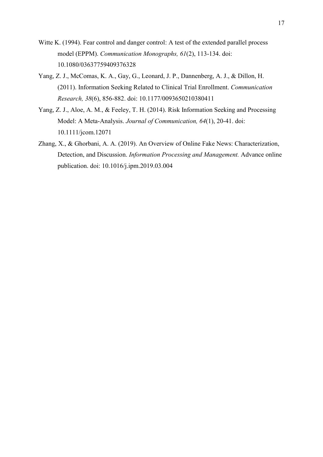- Witte K. (1994). Fear control and danger control: A test of the extended parallel process model (EPPM). *Communication Monographs, 61*(2), 113-134. doi: 10.1080/03637759409376328
- Yang, Z. J., McComas, K. A., Gay, G., Leonard, J. P., Dannenberg, A. J., & Dillon, H. (2011). Information Seeking Related to Clinical Trial Enrollment. *Communication Research, 38*(6), 856-882. doi: 10.1177/0093650210380411
- Yang, Z. J., Aloe, A. M., & Feeley, T. H. (2014). Risk Information Seeking and Processing Model: A Meta-Analysis. *Journal of Communication, 64*(1), 20-41. doi: 10.1111/jcom.12071
- Zhang, X., & Ghorbani, A. A. (2019). An Overview of Online Fake News: Characterization, Detection, and Discussion. *Information Processing and Management.* Advance online publication. doi: 10.1016/j.ipm.2019.03.004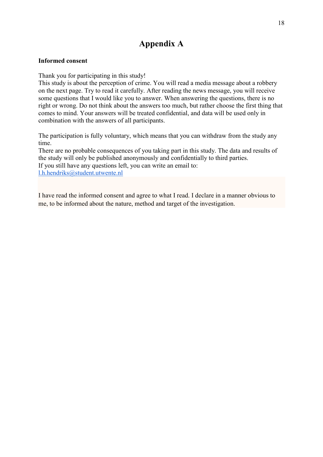## **Appendix A**

### **Informed consent**

Thank you for participating in this study!

This study is about the perception of crime. You will read a media message about a robbery on the next page. Try to read it carefully. After reading the news message, you will receive some questions that I would like you to answer. When answering the questions, there is no right or wrong. Do not think about the answers too much, but rather choose the first thing that comes to mind. Your answers will be treated confidential, and data will be used only in combination with the answers of all participants.

The participation is fully voluntary, which means that you can withdraw from the study any time.

There are no probable consequences of you taking part in this study. The data and results of the study will only be published anonymously and confidentially to third parties. If you still have any questions left, you can write an email to: l.h.hendriks@student.utwente.nl

I have read the informed consent and agree to what I read. I declare in a manner obvious to me, to be informed about the nature, method and target of the investigation.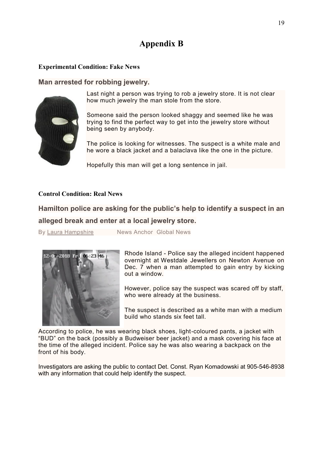## **Appendix B**

## **Experimental Condition: Fake News**

**Man arrested for robbing jewelry.** 



Last night a person was trying to rob a jewelry store. It is not clear how much jewelry the man stole from the store.

Someone said the person looked shaggy and seemed like he was trying to find the perfect way to get into the jewelry store without being seen by anybody.

The police is looking for witnesses. The suspect is a white male and he wore a black jacket and a balaclava like the one in the picture.

Hopefully this man will get a long sentence in jail.

### **Control Condition: Real News**

## **Hamilton police are asking for the public's help to identify a suspect in an alleged break and enter at a local jewelry store.**

By [Laura Hampshire](https://globalnews.ca/author/laura-hampshire/) News Anchor Global News



Rhode Island - Police say the alleged incident happened overnight at Westdale Jewellers on Newton Avenue on Dec. 7 when a man attempted to gain entry by kicking out a window.

However, police say the suspect was scared off by staff, who were already at the business.

The suspect is described as a white man with a medium build who stands six feet tall.

According to police, he was wearing black shoes, light-coloured pants, a jacket with "BUD" on the back (possibly a Budweiser beer jacket) and a mask covering his face at the time of the alleged incident. Police say he was also wearing a backpack on the front of his body.

Investigators are asking the public to contact Det. Const. Ryan Komadowski at 905-546-8938 with any information that could help identify the suspect.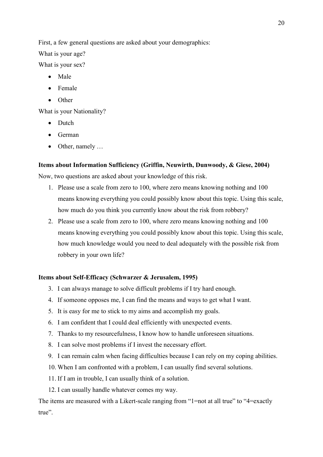First, a few general questions are asked about your demographics:

What is your age?

What is your sex?

- Male
- Female
- Other

What is your Nationality?

- Dutch
- German
- Other, namely ...

### **Items about Information Sufficiency (Griffin, Neuwirth, Dunwoody, & Giese, 2004)**

Now, two questions are asked about your knowledge of this risk.

- 1. Please use a scale from zero to 100, where zero means knowing nothing and 100 means knowing everything you could possibly know about this topic. Using this scale, how much do you think you currently know about the risk from robbery?
- 2. Please use a scale from zero to 100, where zero means knowing nothing and 100 means knowing everything you could possibly know about this topic. Using this scale, how much knowledge would you need to deal adequately with the possible risk from robbery in your own life?

### **Items about Self-Efficacy (Schwarzer & Jerusalem, 1995)**

- 3. I can always manage to solve difficult problems if I try hard enough.
- 4. If someone opposes me, I can find the means and ways to get what I want.
- 5. It is easy for me to stick to my aims and accomplish my goals.
- 6. I am confident that I could deal efficiently with unexpected events.
- 7. Thanks to my resourcefulness, I know how to handle unforeseen situations.
- 8. I can solve most problems if I invest the necessary effort.
- 9. I can remain calm when facing difficulties because I can rely on my coping abilities.
- 10. When I am confronted with a problem, I can usually find several solutions.
- 11. If I am in trouble, I can usually think of a solution.
- 12. I can usually handle whatever comes my way.

The items are measured with a Likert-scale ranging from "1=not at all true" to "4=exactly true".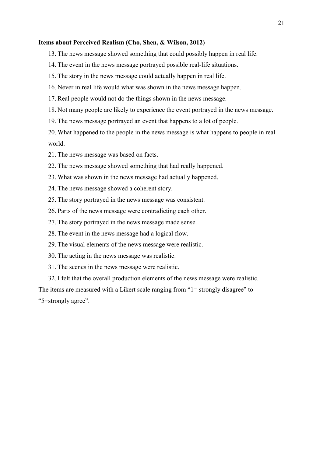#### **Items about Perceived Realism (Cho, Shen, & Wilson, 2012)**

- 13. The news message showed something that could possibly happen in real life.
- 14. The event in the news message portrayed possible real-life situations.
- 15. The story in the news message could actually happen in real life.
- 16. Never in real life would what was shown in the news message happen.
- 17. Real people would not do the things shown in the news message.
- 18. Not many people are likely to experience the event portrayed in the news message.
- 19. The news message portrayed an event that happens to a lot of people.

20. What happened to the people in the news message is what happens to people in real world.

- 21. The news message was based on facts.
- 22. The news message showed something that had really happened.
- 23. What was shown in the news message had actually happened.
- 24. The news message showed a coherent story.
- 25. The story portrayed in the news message was consistent.
- 26. Parts of the news message were contradicting each other.
- 27. The story portrayed in the news message made sense.
- 28. The event in the news message had a logical flow.
- 29. The visual elements of the news message were realistic.
- 30. The acting in the news message was realistic.
- 31. The scenes in the news message were realistic.

32. I felt that the overall production elements of the news message were realistic.

The items are measured with a Likert scale ranging from "1= strongly disagree" to "5=strongly agree".